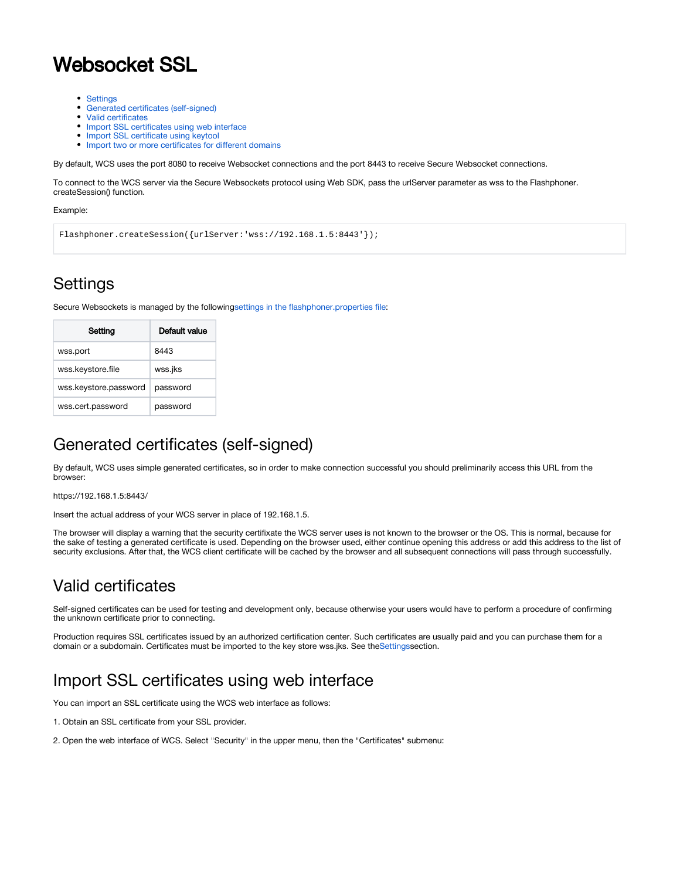# Websocket SSL

- [Settings](#page-0-0)
- $\bullet$ [Generated certificates \(self-signed\)](#page-0-1)
- [Valid certificates](#page-0-2)
- [Import SSL certificates using web interface](#page-0-3)
- [Import SSL certificate using keytool](#page-2-0)
- [Import two or more certificates for different domains](#page-3-0)

By default, WCS uses the port 8080 to receive Websocket connections and the port 8443 to receive Secure Websocket connections.

To connect to the WCS server via the Secure Websockets protocol using Web SDK, pass the urlServer parameter as wss to the Flashphoner. createSession() function.

#### Example:

```
Flashphoner.createSession({urlServer:'wss://192.168.1.5:8443'});
```
## <span id="page-0-0"></span>**Settings**

Secure Websockets is managed by the followin[gsettings in the flashphoner.properties file:](https://docs.flashphoner.com/display/WCS5EN/Settings+file+flashphoner.properties)

| Setting               | Default value |
|-----------------------|---------------|
| wss.port              | 8443          |
| wss.keystore.file     | wss.jks       |
| wss.keystore.password | password      |
| wss.cert.password     | password      |

## <span id="page-0-1"></span>Generated certificates (self-signed)

By default, WCS uses simple generated certificates, so in order to make connection successful you should preliminarily access this URL from the browser:

https://192.168.1.5:8443/

Insert the actual address of your WCS server in place of 192.168.1.5.

The browser will display a warning that the security certifixate the WCS server uses is not known to the browser or the OS. This is normal, because for the sake of testing a generated certificate is used. Depending on the browser used, either continue opening this address or add this address to the list of security exclusions. After that, the WCS client certificate will be cached by the browser and all subsequent connections will pass through successfully.

## <span id="page-0-2"></span>Valid certificates

Self-signed certificates can be used for testing and development only, because otherwise your users would have to perform a procedure of confirming the unknown certificate prior to connecting.

Production requires SSL certificates issued by an authorized certification center. Such certificates are usually paid and you can purchase them for a domain or a subdomain. Certificates must be imported to the key store wss.jks. See the[Settings](https://docs.flashphoner.com/display/WCS5EN/Core+settings)section.

## <span id="page-0-3"></span>Import SSL certificates using web interface

You can import an SSL certificate using the WCS web interface as follows:

- 1. Obtain an SSL certificate from your SSL provider.
- 2. Open the web interface of WCS. Select "Security" in the upper menu, then the "Certificates" submenu: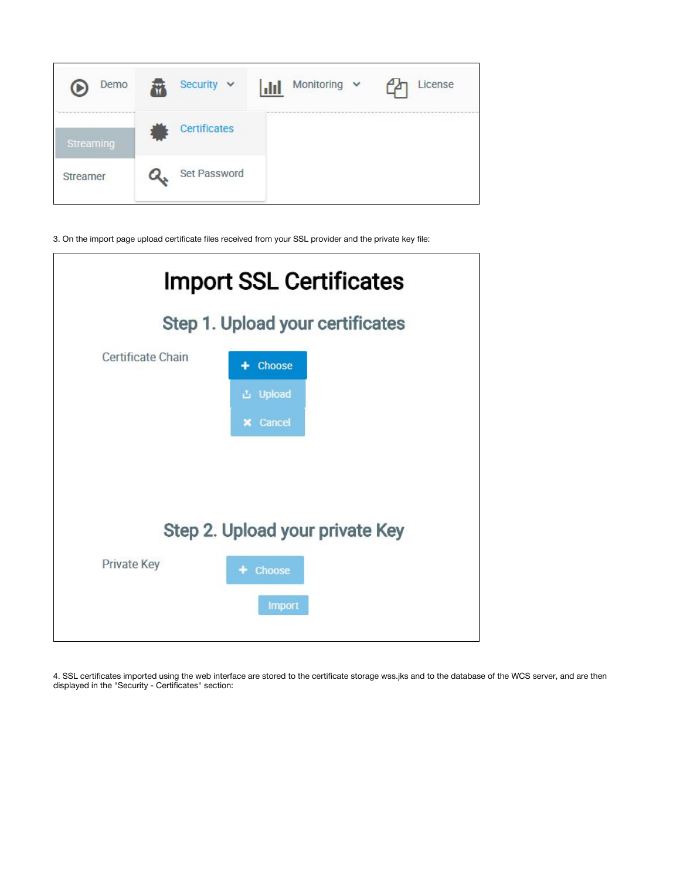

3. On the import page upload certificate files received from your SSL provider and the private key file:

| <b>Import SSL Certificates</b>   |                 |  |
|----------------------------------|-----------------|--|
| Step 1. Upload your certificates |                 |  |
| Certificate Chain                | Choose<br>4     |  |
|                                  | <b>凸</b> Upload |  |
|                                  | <b>x</b> Cancel |  |
|                                  |                 |  |
|                                  |                 |  |
| Step 2. Upload your private Key  |                 |  |
| <b>Private Key</b>               | Choose          |  |
|                                  | <b>Import</b>   |  |
|                                  |                 |  |

4. SSL certificates imported using the web interface are stored to the certificate storage wss.jks and to the database of the WCS server, and are then displayed in the "Security - Certificates" section: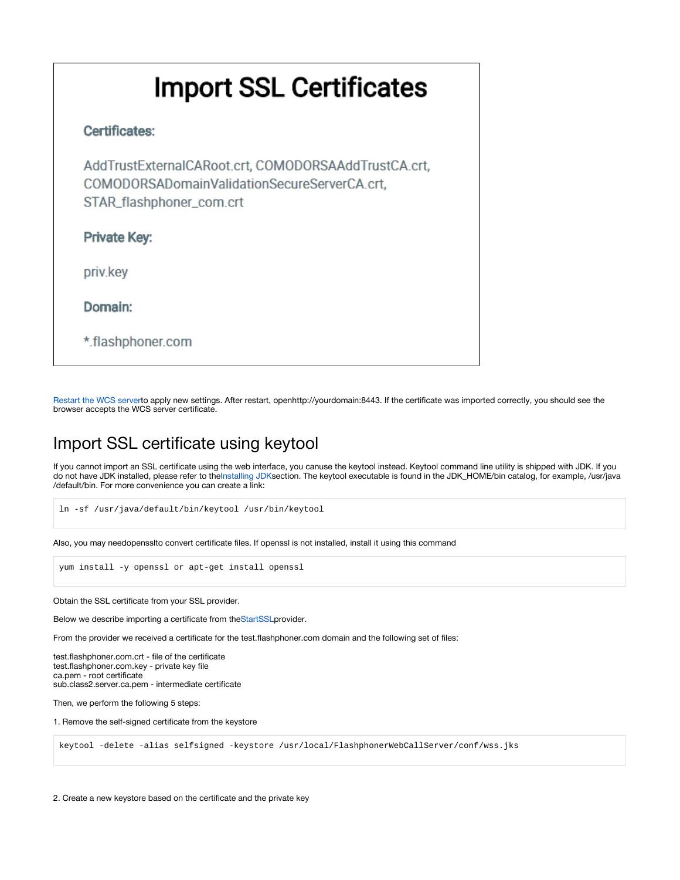# **Import SSL Certificates**

### Certificates:

AddTrustExternalCARoot.crt, COMODORSAAddTrustCA.crt, COMODORSADomainValidationSecureServerCA.crt, STAR\_flashphoner\_com.crt

Private Key:

priv.key

Domain:

\*.flashphoner.com

[Restart the WCS servert](https://docs.flashphoner.com/display/WCS5EN/Starting+and+stopping)o apply new settings. After restart, openhttp://yourdomain:8443. If the certificate was imported correctly, you should see the browser accepts the WCS server certificate.

## <span id="page-2-0"></span>Import SSL certificate using keytool

If you cannot import an SSL certificate using the web interface, you canuse the keytool instead. Keytool command line utility is shipped with JDK. If you do not have JDK installed, please refer to the[Installing JDKs](https://docs.flashphoner.com/display/WCS5EN/Requirements+and+prerequisites)ection. The keytool executable is found in the JDK\_HOME/bin catalog, for example, /usr/java /default/bin. For more convenience you can create a link:

```
ln -sf /usr/java/default/bin/keytool /usr/bin/keytool
```
Also, you may needopensslto convert certificate files. If openssl is not installed, install it using this command

yum install -y openssl or apt-get install openssl

Obtain the SSL certificate from your SSL provider.

Below we describe importing a certificate from the[StartSSLp](https://www.startssl.com/)rovider.

From the provider we received a certificate for the test.flashphoner.com domain and the following set of files:

test.flashphoner.com.crt - file of the certificate test.flashphoner.com.key - private key file ca.pem - root certificate sub.class2.server.ca.pem - intermediate certificate

Then, we perform the following 5 steps:

1. Remove the self-signed certificate from the keystore

keytool -delete -alias selfsigned -keystore /usr/local/FlashphonerWebCallServer/conf/wss.jks

2. Create a new keystore based on the certificate and the private key